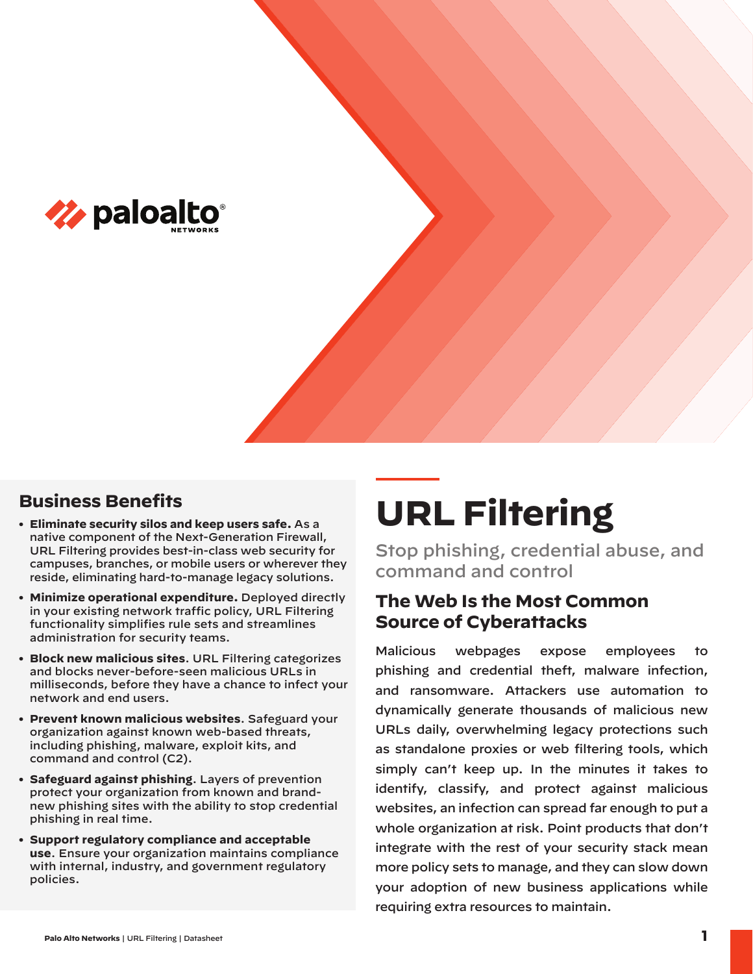

# **Business Benefits**

- **• Eliminate security silos and keep users safe.** As a native component of the Next-Generation Firewall, URL Filtering provides best-in-class web security for campuses, branches, or mobile users or wherever they reside, eliminating hard-to-manage legacy solutions.
- **• Minimize operational expenditure.** Deployed directly in your existing network traffic policy, URL Filtering functionality simplifies rule sets and streamlines administration for security teams.
- **• Block new malicious sites**. URL Filtering categorizes and blocks never-before-seen malicious URLs in milliseconds, before they have a chance to infect your network and end users.
- **• Prevent known malicious websites**. Safeguard your organization against known web-based threats, including phishing, malware, exploit kits, and command and control (C2).
- **• Safeguard against phishing**. Layers of prevention protect your organization from known and brandnew phishing sites with the ability to stop credential phishing in real time.
- **• Support regulatory compliance and acceptable use**. Ensure your organization maintains compliance with internal, industry, and government regulatory policies.

# **URL Filtering**

Stop phishing, credential abuse, and command and control

# **The Web Is the Most Common Source of Cyberattacks**

Malicious webpages expose employees to phishing and credential theft, malware infection, and ransomware. Attackers use automation to dynamically generate thousands of malicious new URLs daily, overwhelming legacy protections such as standalone proxies or web filtering tools, which simply can't keep up. In the minutes it takes to identify, classify, and protect against malicious websites, an infection can spread far enough to put a whole organization at risk. Point products that don't integrate with the rest of your security stack mean more policy sets to manage, and they can slow down your adoption of new business applications while requiring extra resources to maintain.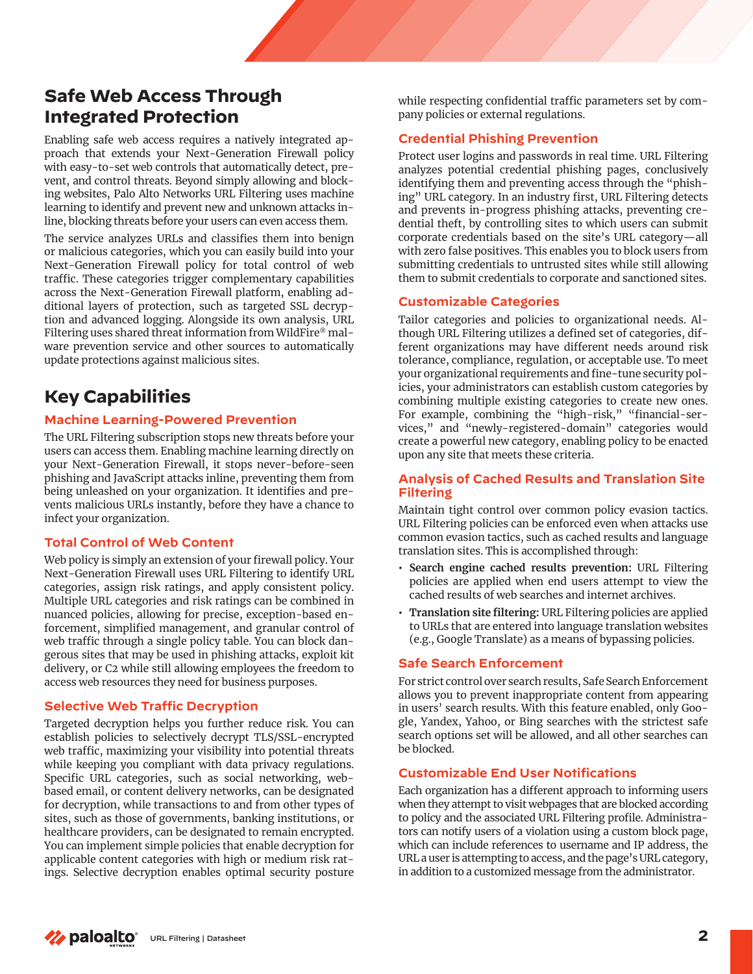# **Safe Web Access Through Integrated Protection**

Enabling safe web access requires a natively integrated approach that extends your Next-Generation Firewall policy with easy-to-set web controls that automatically detect, prevent, and control threats. Beyond simply allowing and blocking websites, Palo Alto Networks URL Filtering uses machine learning to identify and prevent new and unknown attacks inline, blocking threats before your users can even access them.

The service analyzes URLs and classifies them into benign or malicious categories, which you can easily build into your Next-Generation Firewall policy for total control of web traffic. These categories trigger complementary capabilities across the Next-Generation Firewall platform, enabling additional layers of protection, such as targeted SSL decryption and advanced logging. Alongside its own analysis, URL Filtering uses shared threat information from WildFire® malware prevention service and other sources to automatically update protections against malicious sites.

# **Key Capabilities**

## **Machine Learning-Powered Prevention**

The URL Filtering subscription stops new threats before your users can access them. Enabling machine learning directly on your Next-Generation Firewall, it stops never-before-seen phishing and JavaScript attacks inline, preventing them from being unleashed on your organization. It identifies and prevents malicious URLs instantly, before they have a chance to infect your organization.

## **Total Control of Web Content**

Web policy is simply an extension of your firewall policy. Your Next-Generation Firewall uses URL Filtering to identify URL categories, assign risk ratings, and apply consistent policy. Multiple URL categories and risk ratings can be combined in nuanced policies, allowing for precise, exception-based enforcement, simplified management, and granular control of web traffic through a single policy table. You can block dangerous sites that may be used in phishing attacks, exploit kit delivery, or C2 while still allowing employees the freedom to access web resources they need for business purposes.

## **Selective Web Traffic Decryption**

Targeted decryption helps you further reduce risk. You can establish policies to selectively decrypt TLS/SSL-encrypted web traffic, maximizing your visibility into potential threats while keeping you compliant with data privacy regulations. Specific URL categories, such as social networking, webbased email, or content delivery networks, can be designated for decryption, while transactions to and from other types of sites, such as those of governments, banking institutions, or healthcare providers, can be designated to remain encrypted. You can implement simple policies that enable decryption for applicable content categories with high or medium risk ratings. Selective decryption enables optimal security posture while respecting confidential traffic parameters set by company policies or external regulations.

## **Credential Phishing Prevention**

Protect user logins and passwords in real time. URL Filtering analyzes potential credential phishing pages, conclusively identifying them and preventing access through the "phishing" URL category. In an industry first, URL Filtering detects and prevents in-progress phishing attacks, preventing credential theft, by controlling sites to which users can submit corporate credentials based on the site's URL category—all with zero false positives. This enables you to block users from submitting credentials to untrusted sites while still allowing them to submit credentials to corporate and sanctioned sites.

## **Customizable Categories**

Tailor categories and policies to organizational needs. Although URL Filtering utilizes a defined set of categories, different organizations may have different needs around risk tolerance, compliance, regulation, or acceptable use. To meet your organizational requirements and fine-tune security policies, your administrators can establish custom categories by combining multiple existing categories to create new ones. For example, combining the "high-risk," "financial-services," and "newly-registered-domain" categories would create a powerful new category, enabling policy to be enacted upon any site that meets these criteria.

#### **Analysis of Cached Results and Translation Site Filtering**

Maintain tight control over common policy evasion tactics. URL Filtering policies can be enforced even when attacks use common evasion tactics, such as cached results and language translation sites. This is accomplished through:

- **• Search engine cached results prevention:** URL Filtering policies are applied when end users attempt to view the cached results of web searches and internet archives.
- **• Translation site filtering:** URL Filtering policies are applied to URLs that are entered into language translation websites (e.g., Google Translate) as a means of bypassing policies.

## **Safe Search Enforcement**

For strict control over search results, Safe Search Enforcement allows you to prevent inappropriate content from appearing in users' search results. With this feature enabled, only Google, Yandex, Yahoo, or Bing searches with the strictest safe search options set will be allowed, and all other searches can be blocked.

## **Customizable End User Notifications**

Each organization has a different approach to informing users when they attempt to visit webpages that are blocked according to policy and the associated URL Filtering profile. Administrators can notify users of a violation using a custom block page, which can include references to username and IP address, the URL a user is attempting to access, and the page's URL category, in addition to a customized message from the administrator.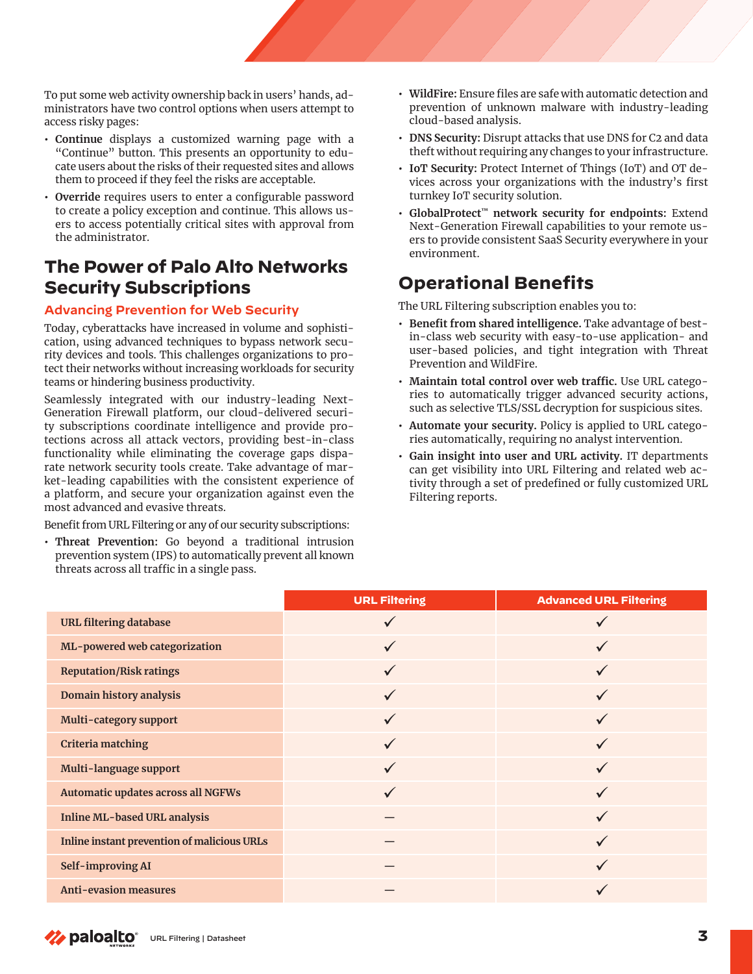To put some web activity ownership back in users' hands, administrators have two control options when users attempt to access risky pages:

- **• Continue** displays a customized warning page with a "Continue" button. This presents an opportunity to educate users about the risks of their requested sites and allows them to proceed if they feel the risks are acceptable.
- **• Override** requires users to enter a configurable password to create a policy exception and continue. This allows users to access potentially critical sites with approval from the administrator.

# **The Power of Palo Alto Networks Security Subscriptions**

## **Advancing Prevention for Web Security**

Today, cyberattacks have increased in volume and sophistication, using advanced techniques to bypass network security devices and tools. This challenges organizations to protect their networks without increasing workloads for security teams or hindering business productivity.

Seamlessly integrated with our industry-leading Next-Generation Firewall platform, our cloud-delivered security subscriptions coordinate intelligence and provide protections across all attack vectors, providing best-in-class functionality while eliminating the coverage gaps disparate network security tools create. Take advantage of market-leading capabilities with the consistent experience of a platform, and secure your organization against even the most advanced and evasive threats.

Benefit from URL Filtering or any of our security subscriptions:

**• Threat Prevention:** Go beyond a traditional intrusion prevention system (IPS) to automatically prevent all known threats across all traffic in a single pass.

- **• WildFire:** Ensure files are safe with automatic detection and prevention of unknown malware with industry-leading cloud-based analysis.
- **• DNS Security:** Disrupt attacks that use DNS for C2 and data theft without requiring any changes to your infrastructure.
- **• IoT Security:** Protect Internet of Things (IoT) and OT devices across your organizations with the industry's first turnkey IoT security solution.
- **• GlobalProtect™ network security for endpoints:** Extend Next-Generation Firewall capabilities to your remote users to provide consistent SaaS Security everywhere in your environment.

# **Operational Benefits**

The URL Filtering subscription enables you to:

- **• Benefit from shared intelligence.** Take advantage of bestin-class web security with easy-to-use application- and user-based policies, and tight integration with Threat Prevention and WildFire.
- **• Maintain total control over web traffic.** Use URL categories to automatically trigger advanced security actions, such as selective TLS/SSL decryption for suspicious sites.
- **• Automate your security.** Policy is applied to URL categories automatically, requiring no analyst intervention.
- **• Gain insight into user and URL activity.** IT departments can get visibility into URL Filtering and related web activity through a set of predefined or fully customized URL Filtering reports.

|                                                    | <b>URL Filtering</b> | <b>Advanced URL Filtering</b> |
|----------------------------------------------------|----------------------|-------------------------------|
| <b>URL filtering database</b>                      |                      |                               |
| ML-powered web categorization                      | $\checkmark$         | ✓                             |
| <b>Reputation/Risk ratings</b>                     | $\checkmark$         |                               |
| Domain history analysis                            | $\checkmark$         | $\checkmark$                  |
| Multi-category support                             |                      |                               |
| <b>Criteria matching</b>                           |                      |                               |
| Multi-language support                             |                      |                               |
| Automatic updates across all NGFWs                 |                      |                               |
| <b>Inline ML-based URL analysis</b>                |                      | $\checkmark$                  |
| <b>Inline instant prevention of malicious URLs</b> |                      |                               |
| Self-improving AI                                  |                      |                               |
| <b>Anti-evasion measures</b>                       |                      |                               |